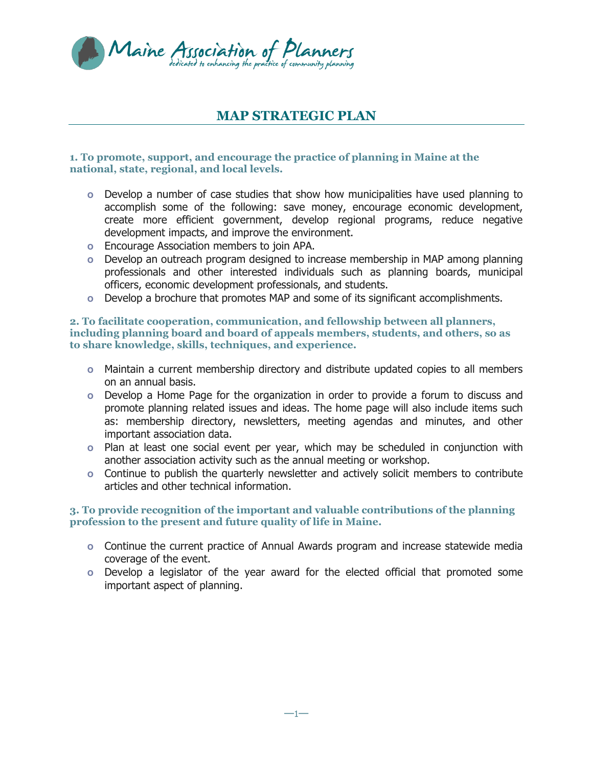

# **MAP STRATEGIC PLAN**

#### **1. To promote, support, and encourage the practice of planning in Maine at the national, state, regional, and local levels.**

- **o** Develop a number of case studies that show how municipalities have used planning to accomplish some of the following: save money, encourage economic development, create more efficient government, develop regional programs, reduce negative development impacts, and improve the environment.
- **o** Encourage Association members to join APA.
- **o** Develop an outreach program designed to increase membership in MAP among planning professionals and other interested individuals such as planning boards, municipal officers, economic development professionals, and students.
- **o** Develop a brochure that promotes MAP and some of its significant accomplishments.

#### **2. To facilitate cooperation, communication, and fellowship between all planners, including planning board and board of appeals members, students, and others, so as to share knowledge, skills, techniques, and experience.**

- **o** Maintain a current membership directory and distribute updated copies to all members on an annual basis.
- **o** Develop a Home Page for the organization in order to provide a forum to discuss and promote planning related issues and ideas. The home page will also include items such as: membership directory, newsletters, meeting agendas and minutes, and other important association data.
- **o** Plan at least one social event per year, which may be scheduled in conjunction with another association activity such as the annual meeting or workshop.
- **o** Continue to publish the quarterly newsletter and actively solicit members to contribute articles and other technical information.

#### **3. To provide recognition of the important and valuable contributions of the planning profession to the present and future quality of life in Maine.**

- **o** Continue the current practice of Annual Awards program and increase statewide media coverage of the event.
- **o** Develop a legislator of the year award for the elected official that promoted some important aspect of planning.